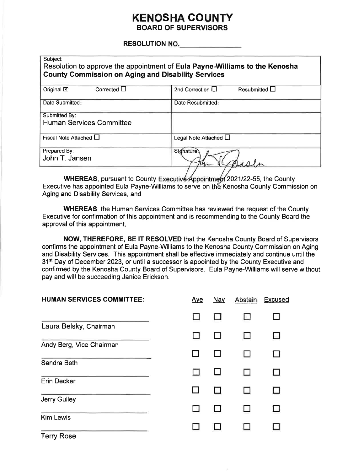### **KENOSHA COUNTY BOARD OF SUPERVISORS**

#### **RESOLUTION NO.**

| Subject:<br>Resolution to approve the appointment of Eula Payne-Williams to the Kenosha<br><b>County Commission on Aging and Disability Services</b> |                                        |  |  |  |
|------------------------------------------------------------------------------------------------------------------------------------------------------|----------------------------------------|--|--|--|
| Corrected $\Box$<br>Original $\boxtimes$                                                                                                             | 2nd Correction $\Box$<br>Resubmitted D |  |  |  |
| Date Submitted:                                                                                                                                      | Date Resubmitted:                      |  |  |  |
| Submitted By:                                                                                                                                        |                                        |  |  |  |
| <b>Human Services Committee</b>                                                                                                                      |                                        |  |  |  |
| Fiscal Note Attached $\Box$                                                                                                                          | Legal Note Attached L                  |  |  |  |
| Prepared By:                                                                                                                                         | Signature.                             |  |  |  |
| John T. Jansen                                                                                                                                       |                                        |  |  |  |
|                                                                                                                                                      |                                        |  |  |  |

WHEREAS, pursuant to County Executive Appointment 2021/22-55, the County Executive has appointed Eula Payne-Williams to serve on the Kenosha County Commission on Aging and Disability Services, and

**WHEREAS, the Human Services Committee has reviewed the request of the County** Executive for confirmation of this appointment and is recommending to the County Board the approval of this appointment,

NOW, THEREFORE, BE IT RESOLVED that the Kenosha County Board of Supervisors confirms the appointment of Eula Payne-Williams to the Kenosha County Commission on Aging and Disability Services. This appointment shall be effective immediately and continue until the 31<sup>st</sup> Day of December 2023, or until a successor is appointed by the County Executive and confirmed by the Kenosha County Board of Supervisors. Eula Payne-Williams will serve without pay and will be succeeding Janice Erickson.

| <b>HUMAN SERVICES COMMITTEE:</b> | <u>Aye</u> | Nay | Abstain | <b>Excused</b> |
|----------------------------------|------------|-----|---------|----------------|
|                                  |            |     |         |                |
| Laura Belsky, Chairman           |            |     |         |                |
| Andy Berg, Vice Chairman         |            |     |         |                |
| Sandra Beth                      |            |     |         |                |
| <b>Erin Decker</b>               |            |     |         |                |
| Jerry Gulley                     |            |     |         |                |
| <b>Kim Lewis</b>                 |            |     |         |                |
| <b>Terry Rose</b>                |            |     |         |                |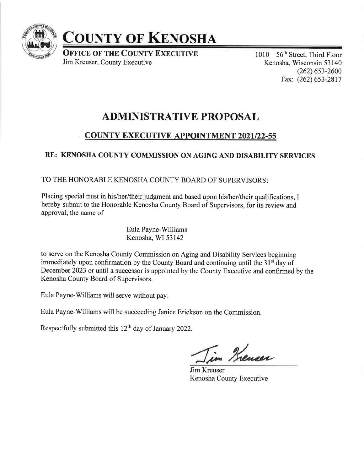

# COUNTY OF KENOSHA

**OFFICE OF THE COUNTY EXECUTIVE** Jim Kreuser, County Executive

 $1010-56$ <sup>th</sup> Street, Third Floor Kenosha, Wisconsin 53 140 (262) 6s3-2600 Fax: (262) 653-2817

## **ADMINISTRATIVE PROPOSAL**

## **COUNTY EXECUTIVE APPOINTMENT 2021/22-55**

#### RE: KENOSHA COUNTY COMMISSION ON AGING AND DISABILITY SERVICES

TO THE HONORABLE KENOSHA COUNTY BOARD OF SUPERVISORS

Placing special trust in his/her/their judgment and based upon his/her/their qualifications, I hereby submit to the Honorable Kenosha County Board of Supervisors, for its review and approval, the name of

> Eula Payne-Williams Kenosha, WI 53142

to serve on the Kenosha County Commission on Aging and Disability Services beginning immediately upon confirmation by the County Board and continuing until the 31<sup>st</sup> day of December 2023 or until a successor is appointed by the County Executive and confirmed by the Kenosha County Board of Supervisors.

Eula Payne-Williams will serve without pay

Eula Payne-Williams will be succeeding Janice Erickson on the Commission.

Respectfully submitted this 12<sup>th</sup> day of January 2022.

in Kreuser

Jim Kreuser Kenosha County Executive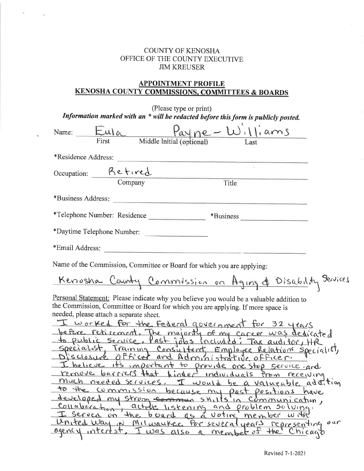#### **COUNTY OF KENOSHA** OFFICE OF THE COUNTY EXECUTIVE **JIM KREUSER**

#### **APPOINTMENT PROFILE** KENOSHA COUNTY COMMISSIONS, COMMITTEES & BOARDS

 $\alpha$ 

| (Please type or print)<br>Information marked with an * will be redacted before this form is publicly posted.                                                                                                                |                     |                                                                                                             |  |  |
|-----------------------------------------------------------------------------------------------------------------------------------------------------------------------------------------------------------------------------|---------------------|-------------------------------------------------------------------------------------------------------------|--|--|
|                                                                                                                                                                                                                             |                     |                                                                                                             |  |  |
|                                                                                                                                                                                                                             |                     | Name: $\frac{\int \frac{\partial u}{\partial x} u(x+h) \, dx}{\text{First}}$ Middle Initial (optional) Last |  |  |
|                                                                                                                                                                                                                             |                     |                                                                                                             |  |  |
|                                                                                                                                                                                                                             | *Residence Address: |                                                                                                             |  |  |
|                                                                                                                                                                                                                             |                     | Occupation: Retired Company Title                                                                           |  |  |
|                                                                                                                                                                                                                             |                     |                                                                                                             |  |  |
|                                                                                                                                                                                                                             |                     | *Business Address:                                                                                          |  |  |
|                                                                                                                                                                                                                             |                     |                                                                                                             |  |  |
| *Daytime Telephone Number:                                                                                                                                                                                                  |                     |                                                                                                             |  |  |
|                                                                                                                                                                                                                             |                     |                                                                                                             |  |  |
| Name of the Commission, Committee or Board for which you are applying:                                                                                                                                                      |                     |                                                                                                             |  |  |
| <u>Kenosha County Commission on Aging of Disability</u> Services                                                                                                                                                            |                     |                                                                                                             |  |  |
| Personal Statement: Please indicate why you believe you would be a valuable addition to                                                                                                                                     |                     |                                                                                                             |  |  |
|                                                                                                                                                                                                                             |                     | the Commission, Committee or Board for which you are applying. If more space is                             |  |  |
| needed, please attach a separate sheet.                                                                                                                                                                                     |                     |                                                                                                             |  |  |
| I worked for the federal government for 32 years                                                                                                                                                                            |                     |                                                                                                             |  |  |
| before retirement. The majority of my career was dedicated<br>to public service, Past jobs included; Tax auditor, HR                                                                                                        |                     |                                                                                                             |  |  |
| specialist, Training Consultant Employee Relations specialist,                                                                                                                                                              |                     |                                                                                                             |  |  |
|                                                                                                                                                                                                                             |                     |                                                                                                             |  |  |
| I believe it's important to provide one stop service and                                                                                                                                                                    |                     |                                                                                                             |  |  |
| remove barriers that hinder individuals from receiving<br>much needed services. I would be a valueable addition                                                                                                             |                     |                                                                                                             |  |  |
| to the commission because my past positions have                                                                                                                                                                            |                     |                                                                                                             |  |  |
|                                                                                                                                                                                                                             |                     |                                                                                                             |  |  |
|                                                                                                                                                                                                                             |                     |                                                                                                             |  |  |
|                                                                                                                                                                                                                             |                     |                                                                                                             |  |  |
| developed my strong common skills in Communication,<br>Collaboration, actrice listening and problem solving.<br>I served on the board as a voting member with<br>United Way in Milwaukee for several years representing our |                     |                                                                                                             |  |  |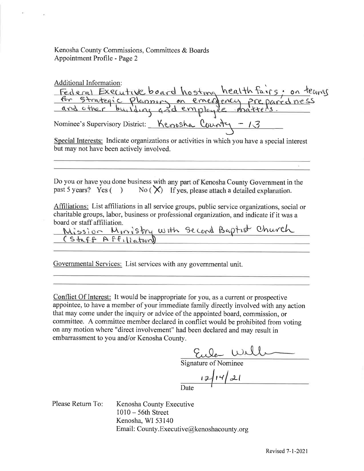Kenosha County Commissions, Committees & Boards Appointment Profile - Page 2

Additional Information: <u>board</u> hosting health tairs; on o Nominee's Supervisory District: <u>Kenosha County - 13</u> Special Interests: Indicate organizations or activities in which you have a special interest but may not have been actively involved. <u>health fai</u> Do you or have you done business with any part of Kenosha County Government in the past 5 years? Yes () No ( $\chi$ ) If yes, please attach a detailed explanation. Affiliations: List affiliations in all service groups, public service organizations, social or charitable groups, labor, business or professional organization, and indicate if it was a board or staff affiliation.  $s$  io  $\sim$  Ministry with Secend  $S$  taff  $A$   $f$   $f$ Church

Governmental Services: List services with any govemmental unit.

Conflict Of Interest: It would be inappropriate for you, as a current or prospective appointee, to have a member of your immediate family directly involved with any action that may come under the inquiry or advice of the appointed board, commission, or committee. A committee member declared in conflict would be prohibited from voting on any motion where "direct involvement" had been declared and may result in embarrassment to you and/or Kenosha County.

Eule

Signature of Nominee

 $12|14|21$ 

Date

Please Return To:

Kenosha County Executive <sup>1010</sup>- 56th Street Kenosha, WI 53140 Email: County.Executive@kenoshacounty.org